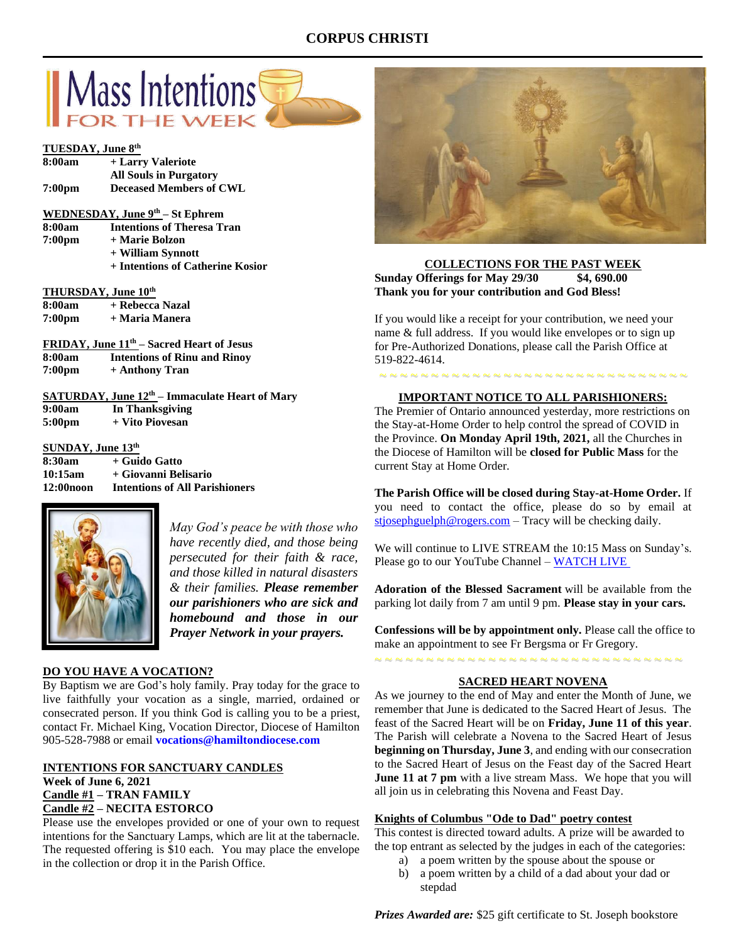## **CORPUS CHRISTI**



#### **TUESDAY, June 8 th**

| 8:00am                   | + Larry Valeriote                                           |
|--------------------------|-------------------------------------------------------------|
|                          | <b>All Souls in Purgatory</b>                               |
| 7:00pm                   | <b>Deceased Members of CWL</b>                              |
|                          | <b>WEDNESDAY, June <math>9th</math> – St Ephrem</b>         |
| 8:00am                   | <b>Intentions of Theresa Tran</b>                           |
| 7:00pm                   | + Marie Bolzon                                              |
|                          | + William Synnott                                           |
|                          | + Intentions of Catherine Kosior                            |
|                          | THURSDAY, June 10th                                         |
|                          | 8:00am + Rebecca Nazal                                      |
|                          | 7:00pm + Maria Manera                                       |
|                          | <b>FRIDAY, June 11<sup>th</sup></b> – Sacred Heart of Jesus |
|                          | 8:00am Intentions of Rinu and Rinoy                         |
|                          | $7:00 \text{pm}$ + Anthony Tran                             |
|                          | <b>SATURDAY, June 12th - Immaculate Heart of Mary</b>       |
|                          | 9:00am In Thanksgiving                                      |
|                          | 5:00pm + Vito Piovesan                                      |
| <b>SUNDAY, June 13th</b> |                                                             |
|                          | 8:30am + Guido Gatto                                        |
|                          | 10:15am + Giovanni Belisario                                |

**12:00noon Intentions of All Parishioners**



*May God's peace be with those who have recently died, and those being persecuted for their faith & race, and those killed in natural disasters & their families. Please remember our parishioners who are sick and homebound and those in our Prayer Network in your prayers.*

#### **DO YOU HAVE A VOCATION?**

By Baptism we are God's holy family. Pray today for the grace to live faithfully your vocation as a single, married, ordained or consecrated person. If you think God is calling you to be a priest, contact Fr. Michael King, Vocation Director, Diocese of Hamilton 905-528-7988 or email **vocations@hamiltondiocese.com** 

#### **INTENTIONS FOR SANCTUARY CANDLES Week of June 6, 2021 Candle #1 – TRAN FAMILY Candle #2 – NECITA ESTORCO**

Please use the envelopes provided or one of your own to request intentions for the Sanctuary Lamps, which are lit at the tabernacle. The requested offering is \$10 each. You may place the envelope in the collection or drop it in the Parish Office.



**COLLECTIONS FOR THE PAST WEEK Sunday Offerings for May 29/30 \$4, 690.00 Thank you for your contribution and God Bless!**

If you would like a receipt for your contribution, we need your name & full address. If you would like envelopes or to sign up for Pre-Authorized Donations, please call the Parish Office at 519-822-4614.

# ~ ~ ~ ~ ~ ~ ~ ~ ~ ~ ~ ~ ~ ~ ~ ~ ~ ~ ~ ~ ~ ~ ~ ~ ~ ~ ~ ~ ~ ~ **IMPORTANT NOTICE TO ALL PARISHIONERS:**

The Premier of Ontario announced yesterday, more restrictions on the Stay-at-Home Order to help control the spread of COVID in the Province. **On Monday April 19th, 2021,** all the Churches in the Diocese of Hamilton will be **closed for Public Mass** for the current Stay at Home Order.

**The Parish Office will be closed during Stay-at-Home Order.** If you need to contact the office, please do so by email at [stjosephguelph@rogers.com](mailto:stjosephguelph@rogers.com) – Tracy will be checking daily.

We will continue to LIVE STREAM the 10:15 Mass on Sunday's. Please go to our YouTube Channel – [WATCH LIVE](https://www.youtube.com/channel/UCL59hxegD__FDJSdMDrt31w)

**Adoration of the Blessed Sacrament** will be available from the parking lot daily from 7 am until 9 pm. **Please stay in your cars.**

**Confessions will be by appointment only.** Please call the office to make an appointment to see Fr Bergsma or Fr Gregory.

#### **SACRED HEART NOVENA**

~ ~ ~ ~ ~ ~ ~ ~ ~ ~ ~ ~ ~ ~ ~ ~ ~ ~ ~ ~ ~ ~ ~ ~ ~ ~ ~ ~ ~ ~

As we journey to the end of May and enter the Month of June, we remember that June is dedicated to the Sacred Heart of Jesus. The feast of the Sacred Heart will be on **Friday, June 11 of this year**. The Parish will celebrate a Novena to the Sacred Heart of Jesus **beginning on Thursday, June 3**, and ending with our consecration to the Sacred Heart of Jesus on the Feast day of the Sacred Heart **June 11 at 7 pm** with a live stream Mass. We hope that you will all join us in celebrating this Novena and Feast Day.

## **Knights of Columbus "Ode to Dad" poetry contest**

This contest is directed toward adults. A prize will be awarded to the top entrant as selected by the judges in each of the categories:

- a) a poem written by the spouse about the spouse or
- b) a poem written by a child of a dad about your dad or stepdad

*Prizes Awarded are:* \$25 gift certificate to St. Joseph bookstore